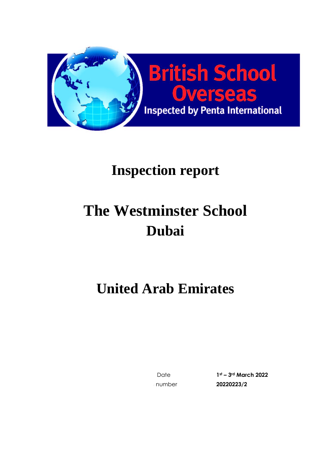

# **The Westminster School Dubai**

## **United Arab Emirates**

Date **1st – 3rd March 2022** Inspection number **20220223/2**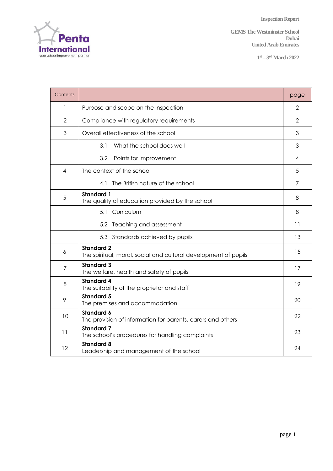Penta International

**GEMS** The Westminster School **Dubai United Arab Emirates**

**1 st – 3 rdMarch 2022**

| Contents       |                                                                                      | page           |  |  |  |
|----------------|--------------------------------------------------------------------------------------|----------------|--|--|--|
| 1              | Purpose and scope on the inspection                                                  |                |  |  |  |
| 2              | Compliance with regulatory requirements                                              |                |  |  |  |
| 3              | Overall effectiveness of the school                                                  |                |  |  |  |
|                | 3.1<br>What the school does well                                                     | 3              |  |  |  |
|                | 3.2<br>Points for improvement                                                        | 4              |  |  |  |
| 4              | The context of the school                                                            | 5              |  |  |  |
|                | The British nature of the school<br>4.1                                              | $\overline{7}$ |  |  |  |
| 5              | <b>Standard 1</b><br>The quality of education provided by the school                 | 8              |  |  |  |
|                | 5.1 Curriculum                                                                       | 8              |  |  |  |
|                | 5.2 Teaching and assessment                                                          | 11             |  |  |  |
|                | 5.3 Standards achieved by pupils                                                     | 13             |  |  |  |
| 6              | <b>Standard 2</b><br>The spiritual, moral, social and cultural development of pupils | 15             |  |  |  |
| $\overline{7}$ | <b>Standard 3</b><br>The welfare, health and safety of pupils                        | 17             |  |  |  |
| 8              | <b>Standard 4</b><br>The suitability of the proprietor and staff                     | 19             |  |  |  |
| 9              | <b>Standard 5</b><br>The premises and accommodation                                  | 20             |  |  |  |
| 10             | <b>Standard 6</b><br>The provision of information for parents, carers and others     |                |  |  |  |
| 11             | <b>Standard 7</b><br>The school's procedures for handling complaints                 |                |  |  |  |
| 12             | <b>Standard 8</b><br>Leadership and management of the school                         | 24             |  |  |  |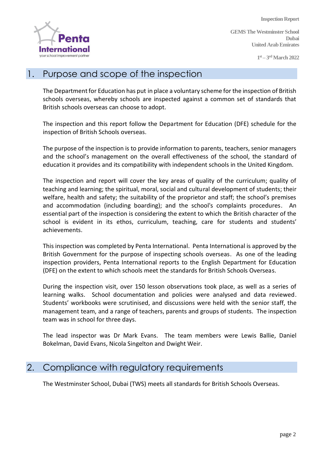

**GEMS The Westminster School Dubai United Arab Emirates**

**1 st – 3 rdMarch 2022**

#### 1. Purpose and scope of the inspection

The Department for Education has put in place a voluntary scheme for the inspection of British schools overseas, whereby schools are inspected against a common set of standards that British schools overseas can choose to adopt.

The inspection and this report follow the Department for Education (DFE) schedule for the inspection of British Schools overseas.

The purpose of the inspection is to provide information to parents, teachers, senior managers and the school's management on the overall effectiveness of the school, the standard of education it provides and its compatibility with independent schools in the United Kingdom.

The inspection and report will cover the key areas of quality of the curriculum; quality of teaching and learning; the spiritual, moral, social and cultural development of students; their welfare, health and safety; the suitability of the proprietor and staff; the school's premises and accommodation (including boarding); and the school's complaints procedures. An essential part of the inspection is considering the extent to which the British character of the school is evident in its ethos, curriculum, teaching, care for students and students' achievements.

This inspection was completed by Penta International. Penta International is approved by the British Government for the purpose of inspecting schools overseas. As one of the leading inspection providers, Penta International reports to the English Department for Education (DFE) on the extent to which schools meet the standards for British Schools Overseas.

During the inspection visit, over 150 lesson observations took place, as well as a series of learning walks. School documentation and policies were analysed and data reviewed. Students' workbooks were scrutinised, and discussions were held with the senior staff, the management team, and a range of teachers, parents and groups of students. The inspection team was in school for three days.

The lead inspector was Dr Mark Evans. The team members were Lewis Ballie, Daniel Bokelman, David Evans, Nicola Singelton and Dwight Weir.

#### 2. Compliance with regulatory requirements

The Westminster School, Dubai (TWS) meets all standards for British Schools Overseas.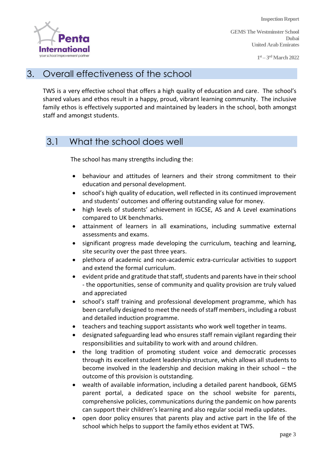

**GEMS The Westminster School Dubai United Arab Emirates**

**1 st – 3 rdMarch 2022**

#### 3. Overall effectiveness of the school

TWS is a very effective school that offers a high quality of education and care. The school's shared values and ethos result in a happy, proud, vibrant learning community. The inclusive family ethos is effectively supported and maintained by leaders in the school, both amongst staff and amongst students.

## 3.1 What the school does well

The school has many strengths including the:

- behaviour and attitudes of learners and their strong commitment to their education and personal development.
- school's high quality of education, well reflected in its continued improvement and students' outcomes and offering outstanding value for money.
- high levels of students' achievement in IGCSE, AS and A Level examinations compared to UK benchmarks.
- attainment of learners in all examinations, including summative external assessments and exams.
- significant progress made developing the curriculum, teaching and learning, site security over the past three years.
- plethora of academic and non-academic extra-curricular activities to support and extend the formal curriculum.
- evident pride and gratitude that staff, students and parents have in their school - the opportunities, sense of community and quality provision are truly valued and appreciated
- school's staff training and professional development programme, which has been carefully designed to meet the needs of staff members, including a robust and detailed induction programme.
- teachers and teaching support assistants who work well together in teams.
- designated safeguarding lead who ensures staff remain vigilant regarding their responsibilities and suitability to work with and around children.
- the long tradition of promoting student voice and democratic processes through its excellent student leadership structure, which allows all students to become involved in the leadership and decision making in their school – the outcome of this provision is outstanding.
- wealth of available information, including a detailed parent handbook, GEMS parent portal, a dedicated space on the school website for parents, comprehensive policies, communications during the pandemic on how parents can support their children's learning and also regular social media updates.
- open door policy ensures that parents play and active part in the life of the school which helps to support the family ethos evident at TWS.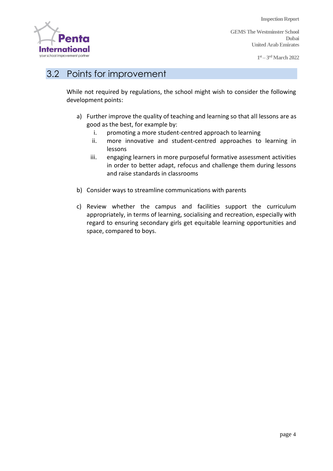

**GEMS The Westminster School Dubai United Arab Emirates**

**1 st – 3 rdMarch 2022**

## 3.2 Points for improvement

While not required by regulations, the school might wish to consider the following development points:

- a) Further improve the quality of teaching and learning so that all lessons are as good as the best, for example by:
	- i. promoting a more student-centred approach to learning
	- ii. more innovative and student-centred approaches to learning in lessons
	- iii. engaging learners in more purposeful formative assessment activities in order to better adapt, refocus and challenge them during lessons and raise standards in classrooms
- b) Consider ways to streamline communications with parents
- c) Review whether the campus and facilities support the curriculum appropriately, in terms of learning, socialising and recreation, especially with regard to ensuring secondary girls get equitable learning opportunities and space, compared to boys.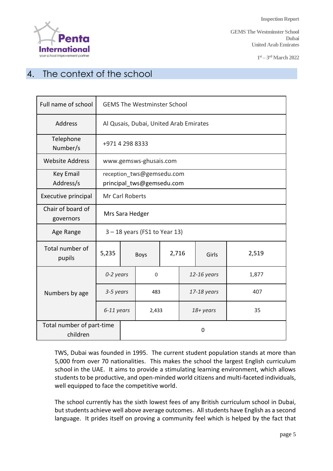

**GEMS The Westminster School Dubai United Arab Emirates**

**1 st – 3 rdMarch 2022**

## 4. The context of the school

| Full name of school                   | <b>GEMS The Westminster School</b>                     |                        |                      |  |             |  |       |
|---------------------------------------|--------------------------------------------------------|------------------------|----------------------|--|-------------|--|-------|
| Address                               | Al Qusais, Dubai, United Arab Emirates                 |                        |                      |  |             |  |       |
| Telephone<br>Number/s                 | +971 4 298 8333                                        |                        |                      |  |             |  |       |
| <b>Website Address</b>                |                                                        | www.gemsws-ghusais.com |                      |  |             |  |       |
| Key Email<br>Address/s                | reception_tws@gemsedu.com<br>principal tws@gemsedu.com |                        |                      |  |             |  |       |
| Executive principal                   | Mr Carl Roberts                                        |                        |                      |  |             |  |       |
| Chair of board of<br>governors        | Mrs Sara Hedger                                        |                        |                      |  |             |  |       |
| Age Range                             | $3 - 18$ years (FS1 to Year 13)                        |                        |                      |  |             |  |       |
| Total number of<br>pupils             | 5,235                                                  |                        | 2,716<br><b>Boys</b> |  | Girls       |  | 2,519 |
|                                       | 0-2 years                                              |                        | $\mathbf 0$          |  | 12-16 years |  | 1,877 |
| Numbers by age                        | 3-5 years                                              |                        | 483                  |  | 17-18 years |  | 407   |
|                                       | 6-11 years                                             | 2,433                  |                      |  | 18+ years   |  | 35    |
| Total number of part-time<br>children | 0                                                      |                        |                      |  |             |  |       |

TWS, Dubai was founded in 1995. The current student population stands at more than 5,000 from over 70 nationalities. This makes the school the largest English curriculum school in the UAE. It aims to provide a stimulating learning environment, which allows students to be productive, and open-minded world citizens and multi-faceted individuals, well equipped to face the competitive world.

The school currently has the sixth lowest fees of any British curriculum school in Dubai, but students achieve well above average outcomes. All students have English as a second language. It prides itself on proving a community feel which is helped by the fact that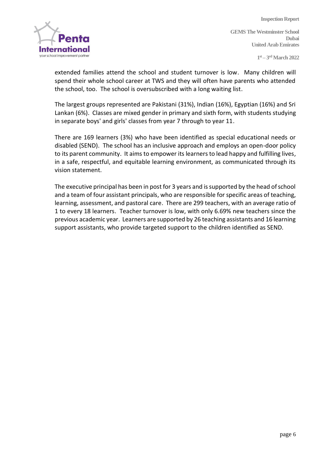

**GEMS The Westminster School Dubai United Arab Emirates**

**1 st – 3 rdMarch 2022**

extended families attend the school and student turnover is low. Many children will spend their whole school career at TWS and they will often have parents who attended the school, too. The school is oversubscribed with a long waiting list.

The largest groups represented are Pakistani (31%), Indian (16%), Egyptian (16%) and Sri Lankan (6%). Classes are mixed gender in primary and sixth form, with students studying in separate boys' and girls' classes from year 7 through to year 11.

There are 169 learners (3%) who have been identified as special educational needs or disabled (SEND). The school has an inclusive approach and employs an open-door policy to its parent community. It aims to empower its learners to lead happy and fulfilling lives, in a safe, respectful, and equitable learning environment, as communicated through its vision statement.

The executive principal has been in post for 3 years and is supported by the head of school and a team of four assistant principals, who are responsible for specific areas of teaching, learning, assessment, and pastoral care. There are 299 teachers, with an average ratio of 1 to every 18 learners. Teacher turnover is low, with only 6.69% new teachers since the previous academic year. Learners are supported by 26 teaching assistants and 16 learning support assistants, who provide targeted support to the children identified as SEND.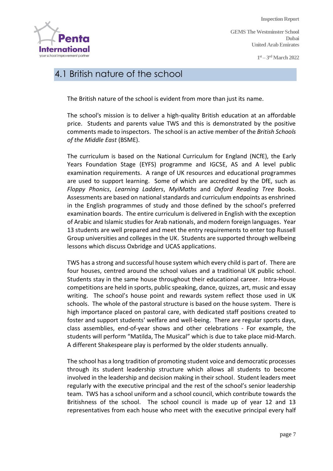

**GEMS The Westminster School Dubai United Arab Emirates**

**1 st – 3 rdMarch 2022**

## 4.1 British nature of the school

The British nature of the school is evident from more than just its name.

The school's mission is to deliver a high-quality British education at an affordable price. Students and parents value TWS and this is demonstrated by the positive comments made to inspectors. The school is an active member of the *British Schools of the Middle East* (BSME).

The curriculum is based on the National Curriculum for England (NCfE), the Early Years Foundation Stage (EYFS) programme and IGCSE, AS and A level public examination requirements. A range of UK resources and educational programmes are used to support learning. Some of which are accredited by the DfE, such as *Floppy Phonics*, *Learning Ladders*, *MyiMaths* and *Oxford Reading Tree* Books. Assessments are based on national standards and curriculum endpoints as enshrined in the English programmes of study and those defined by the school's preferred examination boards. The entire curriculum is delivered in English with the exception of Arabic and Islamic studies for Arab nationals, and modern foreign languages. Year 13 students are well prepared and meet the entry requirements to enter top Russell Group universities and colleges in the UK. Students are supported through wellbeing lessons which discuss Oxbridge and UCAS applications.

TWS has a strong and successful house system which every child is part of. There are four houses, centred around the school values and a traditional UK public school. Students stay in the same house throughout their educational career. Intra-House competitions are held in sports, public speaking, dance, quizzes, art, music and essay writing. The school's house point and rewards system reflect those used in UK schools. The whole of the pastoral structure is based on the house system. There is high importance placed on pastoral care, with dedicated staff positions created to foster and support students' welfare and well-being. There are regular sports days, class assemblies, end-of-year shows and other celebrations - For example, the students will perform "Matilda, The Musical" which is due to take place mid-March. A different Shakespeare play is performed by the older students annually.

The school has a long tradition of promoting student voice and democratic processes through its student leadership structure which allows all students to become involved in the leadership and decision making in their school. Student leaders meet regularly with the executive principal and the rest of the school's senior leadership team. TWS has a school uniform and a school council, which contribute towards the Britishness of the school. The school council is made up of year 12 and 13 representatives from each house who meet with the executive principal every half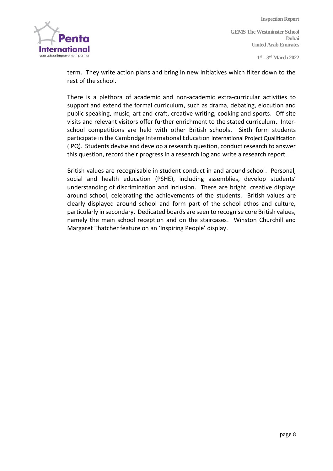

**Inspection Report GEMS The Westminster School Dubai United Arab Emirates**

**1 st – 3 rdMarch 2022**

term. They write action plans and bring in new initiatives which filter down to the rest of the school.

There is a plethora of academic and non-academic extra-curricular activities to support and extend the formal curriculum, such as drama, debating, elocution and public speaking, music, art and craft, creative writing, cooking and sports. Off-site visits and relevant visitors offer further enrichment to the stated curriculum. Interschool competitions are held with other British schools. Sixth form students participate in the Cambridge International Education International Project Qualification (IPQ). Students devise and develop a research question, conduct research to answer this question, record their progress in a research log and write a research report.

British values are recognisable in student conduct in and around school. Personal, social and health education (PSHE), including assemblies, develop students' understanding of discrimination and inclusion. There are bright, creative displays around school, celebrating the achievements of the students. British values are clearly displayed around school and form part of the school ethos and culture, particularly in secondary. Dedicated boards are seen to recognise core British values, namely the main school reception and on the staircases. Winston Churchill and Margaret Thatcher feature on an 'Inspiring People' display.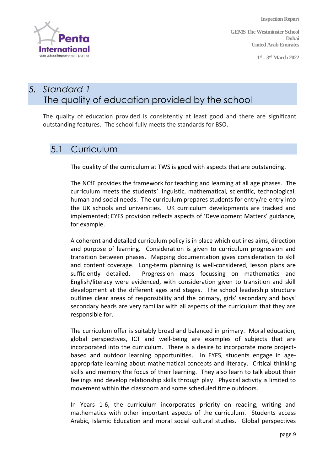

**GEMS The Westminster School Dubai United Arab Emirates**

**1 st – 3 rdMarch 2022**

## *5. Standard 1* The quality of education provided by the school

The quality of education provided is consistently at least good and there are significant outstanding features. The school fully meets the standards for BSO.

#### 5.1 Curriculum

The quality of the curriculum at TWS is good with aspects that are outstanding.

The NCfE provides the framework for teaching and learning at all age phases. The curriculum meets the students' linguistic, mathematical, scientific, technological, human and social needs. The curriculum prepares students for entry/re-entry into the UK schools and universities. UK curriculum developments are tracked and implemented; EYFS provision reflects aspects of 'Development Matters' guidance, for example.

A coherent and detailed curriculum policy is in place which outlines aims, direction and purpose of learning. Consideration is given to curriculum progression and transition between phases. Mapping documentation gives consideration to skill and content coverage. Long-term planning is well-considered, lesson plans are sufficiently detailed. Progression maps focussing on mathematics and English/literacy were evidenced, with consideration given to transition and skill development at the different ages and stages. The school leadership structure outlines clear areas of responsibility and the primary, girls' secondary and boys' secondary heads are very familiar with all aspects of the curriculum that they are responsible for.

The curriculum offer is suitably broad and balanced in primary. Moral education, global perspectives, ICT and well-being are examples of subjects that are incorporated into the curriculum. There is a desire to incorporate more projectbased and outdoor learning opportunities. In EYFS, students engage in ageappropriate learning about mathematical concepts and literacy. Critical thinking skills and memory the focus of their learning. They also learn to talk about their feelings and develop relationship skills through play. Physical activity is limited to movement within the classroom and some scheduled time outdoors.

In Years 1-6, the curriculum incorporates priority on reading, writing and mathematics with other important aspects of the curriculum. Students access Arabic, Islamic Education and moral social cultural studies. Global perspectives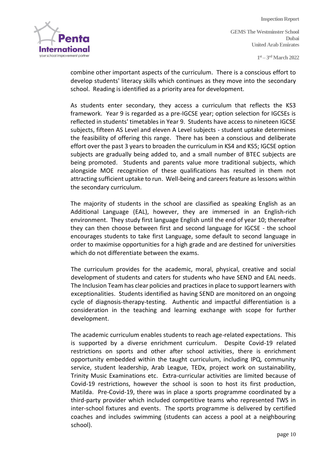**International** your school improvement partne

**Inspection Report GEMS The Westminster School Dubai United Arab Emirates**

**1 st – 3 rdMarch 2022**

combine other important aspects of the curriculum. There is a conscious effort to develop students' literacy skills which continues as they move into the secondary school. Reading is identified as a priority area for development.

As students enter secondary, they access a curriculum that reflects the KS3 framework. Year 9 is regarded as a pre-IGCSE year; option selection for IGCSEs is reflected in students' timetables in Year 9. Students have access to nineteen IGCSE subjects, fifteen AS Level and eleven A Level subjects - student uptake determines the feasibility of offering this range. There has been a conscious and deliberate effort over the past 3 years to broaden the curriculum in KS4 and KS5; IGCSE option subjects are gradually being added to, and a small number of BTEC subjects are being promoted. Students and parents value more traditional subjects, which alongside MOE recognition of these qualifications has resulted in them not attracting sufficient uptake to run. Well-being and careers feature as lessons within the secondary curriculum.

The majority of students in the school are classified as speaking English as an Additional Language (EAL), however, they are immersed in an English-rich environment. They study first language English until the end of year 10; thereafter they can then choose between first and second language for IGCSE - the school encourages students to take first Language, some default to second language in order to maximise opportunities for a high grade and are destined for universities which do not differentiate between the exams.

The curriculum provides for the academic, moral, physical, creative and social development of students and caters for students who have SEND and EAL needs. The Inclusion Team has clear policies and practices in place to support learners with exceptionalities. Students identified as having SEND are monitored on an ongoing cycle of diagnosis-therapy-testing. Authentic and impactful differentiation is a consideration in the teaching and learning exchange with scope for further development.

The academic curriculum enables students to reach age-related expectations. This is supported by a diverse enrichment curriculum. Despite Covid-19 related restrictions on sports and other after school activities, there is enrichment opportunity embedded within the taught curriculum, including IPQ, community service, student leadership, Arab League, TEDx, project work on sustainability, Trinity Music Examinations etc. Extra-curricular activities are limited because of Covid-19 restrictions, however the school is soon to host its first production, Matilda. Pre-Covid-19, there was in place a sports programme coordinated by a third-party provider which included competitive teams who represented TWS in inter-school fixtures and events. The sports programme is delivered by certified coaches and includes swimming (students can access a pool at a neighbouring school).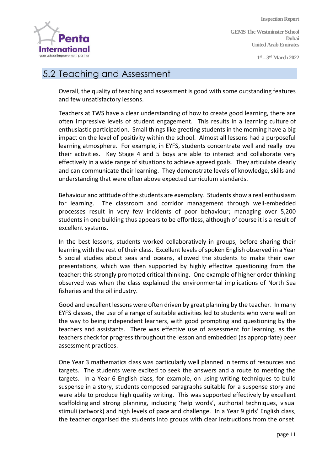

**GEMS The Westminster School Dubai United Arab Emirates**

**1 st – 3 rdMarch 2022**

## 5.2 Teaching and Assessment

Overall, the quality of teaching and assessment is good with some outstanding features and few unsatisfactory lessons.

Teachers at TWS have a clear understanding of how to create good learning, there are often impressive levels of student engagement. This results in a learning culture of enthusiastic participation. Small things like greeting students in the morning have a big impact on the level of positivity within the school. Almost all lessons had a purposeful learning atmosphere. For example, in EYFS, students concentrate well and really love their activities. Key Stage 4 and 5 boys are able to interact and collaborate very effectively in a wide range of situations to achieve agreed goals. They articulate clearly and can communicate their learning. They demonstrate levels of knowledge, skills and understanding that were often above expected curriculum standards.

Behaviour and attitude of the students are exemplary. Students show a real enthusiasm for learning. The classroom and corridor management through well-embedded processes result in very few incidents of poor behaviour; managing over 5,200 students in one building thus appears to be effortless, although of course it is a result of excellent systems.

In the best lessons, students worked collaboratively in groups, before sharing their learning with the rest of their class. Excellent levels of spoken English observed in a Year 5 social studies about seas and oceans, allowed the students to make their own presentations, which was then supported by highly effective questioning from the teacher: this strongly promoted critical thinking. One example of higher order thinking observed was when the class explained the environmental implications of North Sea fisheries and the oil industry.

Good and excellent lessons were often driven by great planning by the teacher. In many EYFS classes, the use of a range of suitable activities led to students who were well on the way to being independent learners, with good prompting and questioning by the teachers and assistants. There was effective use of assessment for learning, as the teachers check for progress throughout the lesson and embedded (as appropriate) peer assessment practices.

One Year 3 mathematics class was particularly well planned in terms of resources and targets. The students were excited to seek the answers and a route to meeting the targets. In a Year 6 English class, for example, on using writing techniques to build suspense in a story, students composed paragraphs suitable for a suspense story and were able to produce high quality writing. This was supported effectively by excellent scaffolding and strong planning, including 'help words', authorial techniques, visual stimuli (artwork) and high levels of pace and challenge. In a Year 9 girls' English class, the teacher organised the students into groups with clear instructions from the onset.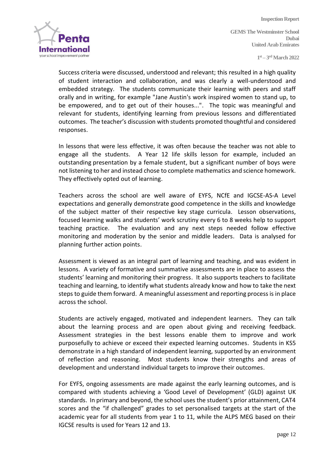

**GEMS The Westminster School Dubai United Arab Emirates**

**1 st – 3 rdMarch 2022**

Success criteria were discussed, understood and relevant; this resulted in a high quality of student interaction and collaboration, and was clearly a well-understood and embedded strategy. The students communicate their learning with peers and staff orally and in writing, for example "Jane Austin's work inspired women to stand up, to be empowered, and to get out of their houses...". The topic was meaningful and relevant for students, identifying learning from previous lessons and differentiated outcomes. The teacher's discussion with students promoted thoughtful and considered responses.

In lessons that were less effective, it was often because the teacher was not able to engage all the students. A Year 12 life skills lesson for example, included an outstanding presentation by a female student, but a significant number of boys were not listening to her and instead chose to complete mathematics and science homework. They effectively opted out of learning.

Teachers across the school are well aware of EYFS, NCfE and IGCSE-AS-A Level expectations and generally demonstrate good competence in the skills and knowledge of the subject matter of their respective key stage curricula. [Lesson observations,](https://gemsedu-my.sharepoint.com/:f:/p/survey_tws/Evqex99s76xEoYdpeDnAp0cBEapU_PB_m9Uv3H2IZAI-Eg?e=RFtIET)  focused learning walks [and students' work scrutiny](https://gemsedu-my.sharepoint.com/:f:/p/survey_tws/Evqex99s76xEoYdpeDnAp0cBEapU_PB_m9Uv3H2IZAI-Eg?e=RFtIET) every 6 to 8 weeks help to support teaching practice. The evaluation and any next steps needed follow effective monitoring and moderation by the senior and middle leaders. Data is analysed for planning further action points.

Assessment is viewed as an integral part of learning and teaching, and was evident in lessons. A variety of formative and summative assessments are in place to assess the students' learning and monitoring their progress. It also supports teachers to facilitate teaching and learning, to identify what students already know and how to take the next steps to guide them forward. A meaningful assessment and reporting process is in place across the school.

Students are actively engaged, motivated and independent learners. They can talk about the learning process and are open about giving and receiving feedback. Assessment strategies in the best lessons enable them to improve and work purposefully to achieve or exceed their expected learning outcomes. Students in KS5 demonstrate in a high standard of independent learning, supported by an environment of reflection and reasoning. Most students know their strengths and areas of development and understand individual targets to improve their outcomes.

For EYFS, ongoing assessments are made against the early learning outcomes, and is compared with students achieving a 'Good Level of Development' (GLD) against UK standards. In primary and beyond, the school uses the student's prior attainment, CAT4 scores and the "if challenged" grades to set personalised targets at the start of the academic year for all students from year 1 to 11, while the ALPS MEG based on their IGCSE results is used for Years 12 and 13.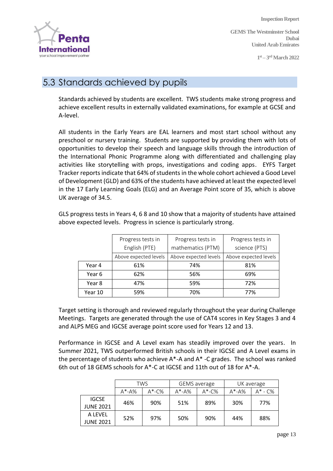

**GEMS The Westminster School Dubai United Arab Emirates**

**1 st – 3 rdMarch 2022**

## 5.3 Standards achieved by pupils

Standards achieved by students are excellent. TWS students make strong progress and achieve excellent results in externally validated examinations, for example at GCSE and A-level.

All students in the Early Years are EAL learners and most start school without any preschool or nursery training. Students are supported by providing them with lots of opportunities to develop their speech and language skills through the introduction of the International Phonic Programme along with differentiated and challenging play activities like storytelling with props, investigations and coding apps. EYFS Target Tracker reports indicate that 64% of students in the whole cohort achieved a Good Level of Development (GLD) and 63% of the students have achieved at least the expected level in the 17 Early Learning Goals (ELG) and an Average Point score of 35, which is above UK average of 34.5.

GLS progress tests in Years 4, 6 8 and 10 show that a majority of students have attained above expected levels. Progress in science is particularly strong.

|         | Progress tests in     | Progress tests in     | Progress tests in     |  |
|---------|-----------------------|-----------------------|-----------------------|--|
|         | English (PTE)         | mathematics (PTM)     | science (PTS)         |  |
|         | Above expected levels | Above expected levels | Above expected levels |  |
| Year 4  | 61%                   | 74%                   | 81%                   |  |
| Year 6  | 62%                   | 56%                   | 69%                   |  |
| Year 8  | 47%                   | 59%                   | 72%                   |  |
| Year 10 | 59%                   | 70%                   | 77%                   |  |

Target setting is thorough and reviewed regularly throughout the year during Challenge Meetings. Targets are generated through the use of CAT4 scores in Key Stages 3 and 4 and ALPS MEG and IGCSE average point score used for Years 12 and 13.

Performance in IGCSE and A Level exam has steadily improved over the years. In Summer 2021, TWS outperformed British schools in their IGCSE and A Level exams in the percentage of students who achieve  $A^*$ -A and  $A^*$ -C grades. The school was ranked 6th out of 18 GEMS schools for A\*-C at IGCSE and 11th out of 18 for A\*-A.

|                                  | TWS       |           |           | <b>GEMS</b> average | UK average |               |
|----------------------------------|-----------|-----------|-----------|---------------------|------------|---------------|
|                                  | $A^*$ -A% | $A^*$ -C% | $A^*$ -A% | $A^*$ -C%           | $A^*$ -A%  | $A^*$ - $C\%$ |
| <b>IGCSE</b><br><b>JUNE 2021</b> | 46%       | 90%       | 51%       | 89%                 | 30%        | 77%           |
| A LEVEL<br>JUNE 2021             | 52%       | 97%       | 50%       | 90%                 | 44%        | 88%           |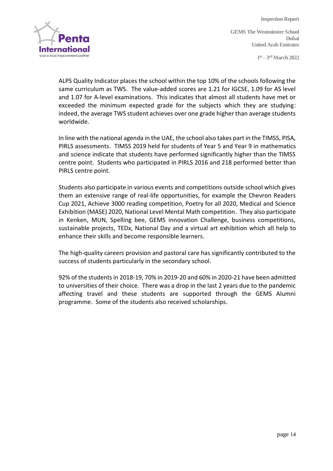**Inspection Report GEMS The Westminster School Dubai United Arab Emirates**

**1 st – 3 rdMarch 2022**



ALPS Quality Indicator places the school within the top 10% of the schools following the same curriculum as TWS. The value-added scores are 1.21 for IGCSE, 1.09 for AS level and 1.07 for A-level examinations. This indicates that almost all students have met or exceeded the minimum expected grade for the subjects which they are studying: indeed, the average TWS student achieves over one grade higher than average students worldwide.

In line with the national agenda in the UAE, the school also takes part in the TIMSS, PISA, PIRLS assessments. TIMSS 2019 held for students of Year 5 and Year 9 in mathematics and science indicate that students have performed significantly higher than the TIMSS centre point. Students who participated in PIRLS 2016 and 218 performed better than PIRLS centre point.

Students also participate in various events and competitions outside school which gives them an extensive range of real-life opportunities, for example the Chevron Readers Cup 2021, Achieve 3000 reading competition, Poetry for all 2020, Medical and Science Exhibition (MASE) 2020, National Level Mental Math competition. They also participate in Kenken, MUN, Spelling bee, GEMS innovation Challenge, business competitions, sustainable projects, TEDx, National Day and a virtual art exhibition which all help to enhance their skills and become responsible learners.

The high-quality careers provision and pastoral care has significantly contributed to the success of students particularly in the secondary school.

92% of the students in 2018-19, 70% in 2019-20 and 60% in 2020-21 have been admitted to universities of their choice. There was a drop in the last 2 years due to the pandemic affecting travel and these students are supported through the GEMS Alumni programme. Some of the students also received scholarships.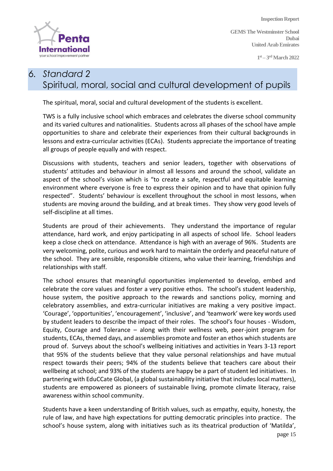

**GEMS The Westminster School Dubai United Arab Emirates**

**1 st – 3 rdMarch 2022**

#### *6. Standard 2*  Spiritual, moral, social and cultural development of pupils

The spiritual, moral, social and cultural development of the students is excellent.

TWS is a fully inclusive school which embraces and celebrates the diverse school community and its varied cultures and nationalities. Students across all phases of the school have ample opportunities to share and celebrate their experiences from their cultural backgrounds in lessons and extra-curricular activities (ECAs). Students appreciate the importance of treating all groups of people equally and with respect.

Discussions with students, teachers and senior leaders, together with observations of students' attitudes and behaviour in almost all lessons and around the school, validate an aspect of the school's vision which is "to create a safe, respectful and equitable learning environment where everyone is free to express their opinion and to have that opinion fully respected". Students' behaviour is excellent throughout the school in most lessons, when students are moving around the building, and at break times. They show very good levels of self-discipline at all times.

Students are proud of their achievements. They understand the importance of regular attendance, hard work, and enjoy participating in all aspects of school life. School leaders keep a close check on attendance. Attendance is high with an average of 96%. Students are very welcoming, polite, curious and work hard to maintain the orderly and peaceful nature of the school. They are sensible, responsible citizens, who value their learning, friendships and relationships with staff.

The school ensures that meaningful opportunities implemented to develop, embed and celebrate the core values and foster a very positive ethos. The school's student leadership, house system, the positive approach to the rewards and sanctions policy, morning and celebratory assemblies, and extra-curricular initiatives are making a very positive impact. 'Courage', 'opportunities', 'encouragement', 'inclusive', and 'teamwork' were key words used by student leaders to describe the impact of their roles. The school's four houses - Wisdom, Equity, Courage and Tolerance – along with their wellness web, peer-joint program for students, ECAs, themed days, and assemblies promote and foster an ethos which students are proud of. Surveys about the school's wellbeing initiatives and activities in Years 3-13 report that 95% of the students believe that they value personal relationships and have mutual respect towards their peers; 94% of the students believe that teachers care about their wellbeing at school; and 93% of the students are happy be a part of student led initiatives. In partnering with EduCCate Global, (a global sustainability initiative that includes local matters), students are empowered as pioneers of sustainable living, promote climate literacy, raise awareness within school community.

Students have a keen understanding of British values, such as empathy, equity, honesty, the rule of law, and have high expectations for putting democratic principles into practice. The school's house system, along with initiatives such as its theatrical production of 'Matilda',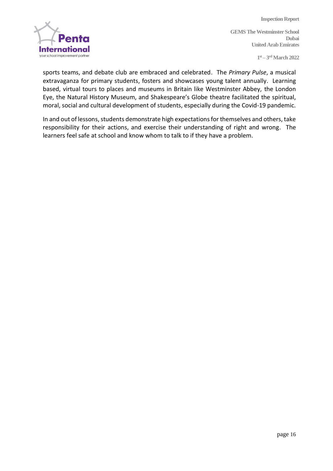

**Inspection Report GEMS The Westminster School Dubai United Arab Emirates**

**1 st – 3 rdMarch 2022**

sports teams, and debate club are embraced and celebrated. The *Primary Pulse*, a musical extravaganza for primary students, fosters and showcases young talent annually. Learning based, virtual tours to places and museums in Britain like Westminster Abbey, the London Eye, the Natural History Museum, and Shakespeare's Globe theatre facilitated the spiritual, moral, social and cultural development of students, especially during the Covid-19 pandemic.

In and out of lessons, students demonstrate high expectations for themselves and others, take responsibility for their actions, and exercise their understanding of right and wrong. The learners feel safe at school and know whom to talk to if they have a problem.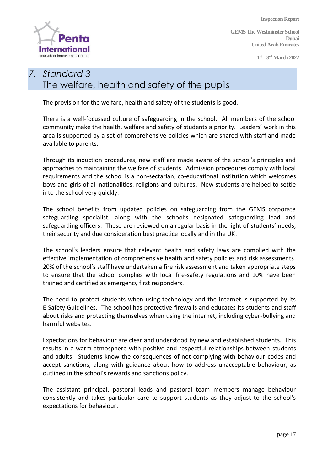

**GEMS The Westminster School Dubai United Arab Emirates**

**1 st – 3 rdMarch 2022**

## *7. Standard 3* The welfare, health and safety of the pupils

The provision for the welfare, health and safety of the students is good.

There is a well-focussed culture of safeguarding in the school. All members of the school community make the health, welfare and safety of students a priority. Leaders' work in this area is supported by a set of comprehensive policies which are shared with staff and made available to parents.

Through its induction procedures, new staff are made aware of the school's principles and approaches to maintaining the welfare of students. Admission procedures comply with local requirements and the school is a non-sectarian, co-educational institution which welcomes boys and girls of all nationalities, religions and cultures. New students are helped to settle into the school very quickly.

The school benefits from updated policies on safeguarding from the GEMS corporate safeguarding specialist, along with the school's designated safeguarding lead and safeguarding officers. These are reviewed on a regular basis in the light of students' needs, their security and due consideration best practice locally and in the UK.

The school's leaders ensure that relevant health and safety laws are complied with the effective implementation of comprehensive health and safety policies and risk assessments. 20% of the school's staff have undertaken a fire risk assessment and taken appropriate steps to ensure that the school complies with local fire-safety regulations and 10% have been trained and certified as emergency first responders.

The need to protect students when using technology and the internet is supported by its E-Safety Guidelines. The school has protective firewalls and educates its students and staff about risks and protecting themselves when using the internet, including cyber-bullying and harmful websites.

Expectations for behaviour are clear and understood by new and established students. This results in a warm atmosphere with positive and respectful relationships between students and adults. Students know the consequences of not complying with behaviour codes and accept sanctions, along with guidance about how to address unacceptable behaviour, as outlined in the school's rewards and sanctions policy.

The assistant principal, pastoral leads and pastoral team members manage behaviour consistently and takes particular care to support students as they adjust to the school's expectations for behaviour.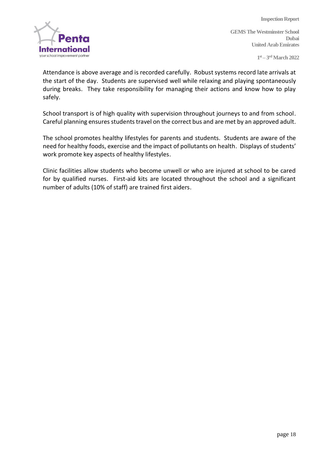

**GEMS The Westminster School Dubai United Arab Emirates**

**1 st – 3 rdMarch 2022**

Attendance is above average and is recorded carefully. Robust systems record late arrivals at the start of the day. Students are supervised well while relaxing and playing spontaneously during breaks. They take responsibility for managing their actions and know how to play safely.

School transport is of high quality with supervision throughout journeys to and from school. Careful planning ensures students travel on the correct bus and are met by an approved adult.

The school promotes healthy lifestyles for parents and students. Students are aware of the need for healthy foods, exercise and the impact of pollutants on health. Displays of students' work promote key aspects of healthy lifestyles.

Clinic facilities allow students who become unwell or who are injured at school to be cared for by qualified nurses. First-aid kits are located throughout the school and a significant number of adults (10% of staff) are trained first aiders.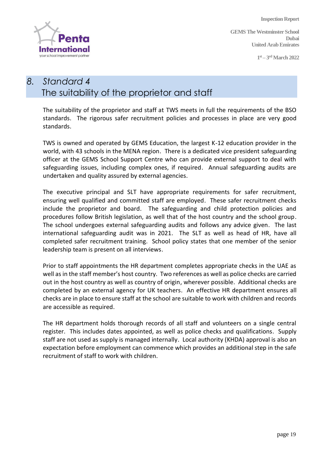

**GEMS The Westminster School Dubai United Arab Emirates**

**1 st – 3 rdMarch 2022**

## *8. Standard 4* The suitability of the proprietor and staff

The suitability of the proprietor and staff at TWS meets in full the requirements of the BSO standards. The rigorous safer recruitment policies and processes in place are very good standards.

TWS is owned and operated by GEMS Education, the largest K-12 education provider in the world, with 43 schools in the MENA region. There is a dedicated vice president safeguarding officer at the GEMS School Support Centre who can provide external support to deal with safeguarding issues, including complex ones, if required. Annual safeguarding audits are undertaken and quality assured by external agencies.

The executive principal and SLT have appropriate requirements for safer recruitment, ensuring well qualified and committed staff are employed. These safer recruitment checks include the proprietor and board. The safeguarding and child protection policies and procedures follow British legislation, as well that of the host country and the school group. The school undergoes external safeguarding audits and follows any advice given. The last international safeguarding audit was in 2021. The SLT as well as head of HR, have all completed safer recruitment training. School policy states that one member of the senior leadership team is present on all interviews.

Prior to staff appointments the HR department completes appropriate checks in the UAE as well as in the staff member's host country. Two references as well as police checks are carried out in the host country as well as country of origin, wherever possible. Additional checks are completed by an external agency for UK teachers. An effective HR department ensures all checks are in place to ensure staff at the school are suitable to work with children and records are accessible as required.

The HR department holds thorough records of all staff and volunteers on a single central register. This includes dates appointed, as well as police checks and qualifications. Supply staff are not used as supply is managed internally. Local authority (KHDA) approval is also an expectation before employment can commence which provides an additional step in the safe recruitment of staff to work with children.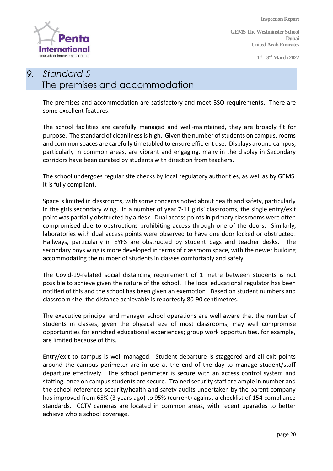

**GEMS The Westminster School Dubai United Arab Emirates**

**1 st – 3 rdMarch 2022**

## *9. Standard 5* The premises and accommodation

The premises and accommodation are satisfactory and meet BSO requirements. There are some excellent features.

The school facilities are carefully managed and well-maintained, they are broadly fit for purpose. The standard of cleanliness is high. Given the number of students on campus, rooms and common spaces are carefully timetabled to ensure efficient use. Displays around campus, particularly in common areas, are vibrant and engaging, many in the display in Secondary corridors have been curated by students with direction from teachers.

The school undergoes regular site checks by local regulatory authorities, as well as by GEMS. It is fully compliant.

Space is limited in classrooms, with some concerns noted about health and safety, particularly in the girls secondary wing. In a number of year 7-11 girls' classrooms, the single entry/exit point was partially obstructed by a desk. Dual access points in primary classrooms were often compromised due to obstructions prohibiting access through one of the doors. Similarly, laboratories with dual access points were observed to have one door locked or obstructed. Hallways, particularly in EYFS are obstructed by student bags and teacher desks. The secondary boys wing is more developed in terms of classroom space, with the newer building accommodating the number of students in classes comfortably and safely.

The Covid-19-related social distancing requirement of 1 metre between students is not possible to achieve given the nature of the school. The local educational regulator has been notified of this and the school has been given an exemption. Based on student numbers and classroom size, the distance achievable is reportedly 80-90 centimetres.

The executive principal and manager school operations are well aware that the number of students in classes, given the physical size of most classrooms, may well compromise opportunities for enriched educational experiences; group work opportunities, for example, are limited because of this.

Entry/exit to campus is well-managed. Student departure is staggered and all exit points around the campus perimeter are in use at the end of the day to manage student/staff departure effectively. The school perimeter is secure with an access control system and staffing, once on campus students are secure. Trained security staff are ample in number and the school references security/health and safety audits undertaken by the parent company has improved from 65% (3 years ago) to 95% (current) against a checklist of 154 compliance standards. CCTV cameras are located in common areas, with recent upgrades to better achieve whole school coverage.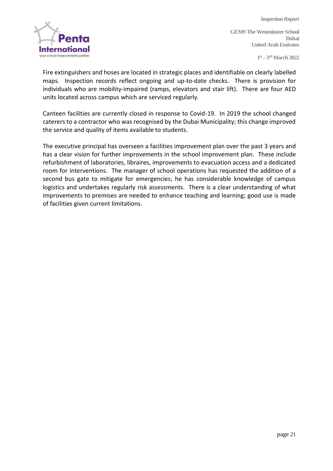

**GEMS The Westminster School Dubai United Arab Emirates**

**1 st – 3 rdMarch 2022**

Fire extinguishers and hoses are located in strategic places and identifiable on clearly labelled maps. Inspection records reflect ongoing and up-to-date checks. There is provision for individuals who are mobility-impaired (ramps, elevators and stair lift). There are four AED units located across campus which are serviced regularly.

Canteen facilities are currently closed in response to Covid-19. In 2019 the school changed caterers to a contractor who was recognised by the Dubai Municipality; this change improved the service and quality of items available to students.

The executive principal has overseen a facilities improvement plan over the past 3 years and has a clear vision for further improvements in the school improvement plan. These include refurbishment of laboratories, libraires, improvements to evacuation access and a dedicated room for interventions. The manager of school operations has requested the addition of a second bus gate to mitigate for emergencies; he has considerable knowledge of campus logistics and undertakes regularly risk assessments. There is a clear understanding of what improvements to premises are needed to enhance teaching and learning; good use is made of facilities given current limitations.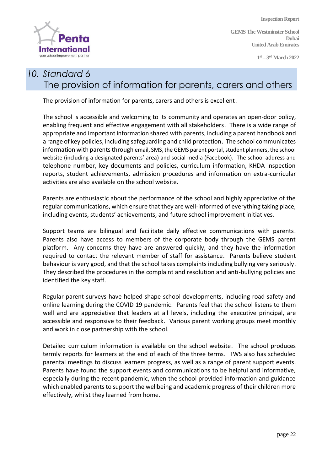

**GEMS The Westminster School Dubai United Arab Emirates**

**1 st – 3 rdMarch 2022**

## *10. Standard 6* The provision of information for parents, carers and others

The provision of information for parents, carers and others is excellent.

The school is accessible and welcoming to its community and operates an open-door policy, enabling frequent and effective engagement with all stakeholders. There is a wide range of appropriate and important information shared with parents, including a parent handbook and a range of key policies, including safeguarding and child protection. The school communicates information with parents through email, SMS, the GEMS parent portal, student planners, the school website (including a designated parents' area) and social media (Facebook). The school address and telephone number, key documents and policies, curriculum information, KHDA inspection reports, student achievements, admission procedures and information on extra-curricular activities are also available on the school website.

Parents are enthusiastic about the performance of the school and highly appreciative of the regular communications, which ensure that they are well-informed of everything taking place, including events, students' achievements, and future school improvement initiatives.

Support teams are bilingual and facilitate daily effective communications with parents. Parents also have access to members of the corporate body through the GEMS parent platform. Any concerns they have are answered quickly, and they have the information required to contact the relevant member of staff for assistance. Parents believe student behaviour is very good, and that the school takes complaints including bullying very seriously. They described the procedures in the complaint and resolution and anti-bullying policies and identified the key staff.

Regular parent surveys have helped shape school developments, including road safety and online learning during the COVID 19 pandemic. Parents feel that the school listens to them well and are appreciative that leaders at all levels, including the executive principal, are accessible and responsive to their feedback. Various parent working groups meet monthly and work in close partnership with the school.

Detailed curriculum information is available on the school website. The school produces termly reports for learners at the end of each of the three terms. TWS also has scheduled parental meetings to discuss learners progress, as well as a range of parent support events. Parents have found the support events and communications to be helpful and informative, especially during the recent pandemic, when the school provided information and guidance which enabled parents to support the wellbeing and academic progress of their children more effectively, whilst they learned from home.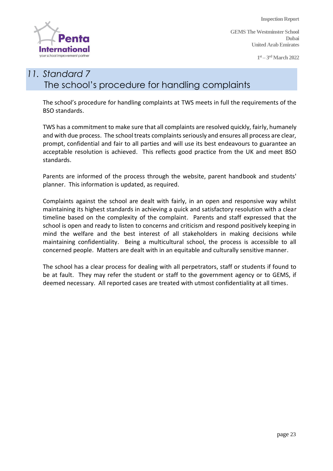

**GEMS The Westminster School Dubai United Arab Emirates**

**1 st – 3 rdMarch 2022**

## *11. Standard 7* The school's procedure for handling complaints

The school's procedure for handling complaints at TWS meets in full the requirements of the BSO standards.

TWS has a commitment to make sure that all complaints are resolved quickly, fairly, humanely and with due process. The school treats complaints seriously and ensures all process are clear, prompt, confidential and fair to all parties and will use its best endeavours to guarantee an acceptable resolution is achieved. This reflects good practice from the UK and meet BSO standards.

Parents are informed of the process through the website, parent handbook and students' planner. This information is updated, as required.

Complaints against the school are dealt with fairly, in an open and responsive way whilst maintaining its highest standards in achieving a quick and satisfactory resolution with a clear timeline based on the complexity of the complaint. Parents and staff expressed that the school is open and ready to listen to concerns and criticism and respond positively keeping in mind the welfare and the best interest of all stakeholders in making decisions while maintaining confidentiality. Being a multicultural school, the process is accessible to all concerned people. Matters are dealt with in an equitable and culturally sensitive manner.

The school has a clear process for dealing with all perpetrators, staff or students if found to be at fault. They may refer the student or staff to the government agency or to GEMS, if deemed necessary. All reported cases are treated with utmost confidentiality at all times.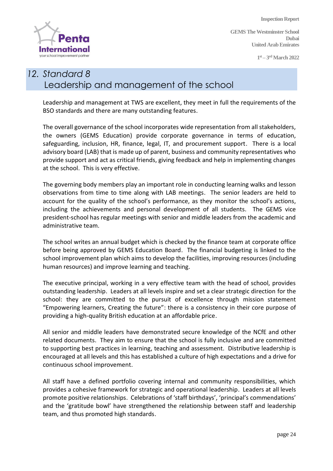

**GEMS The Westminster School Dubai United Arab Emirates**

**1 st – 3 rdMarch 2022**

## *12. Standard 8* Leadership and management of the school

Leadership and management at TWS are excellent, they meet in full the requirements of the BSO standards and there are many outstanding features.

The overall governance of the school incorporates wide representation from all stakeholders, the owners (GEMS Education) provide corporate governance in terms of education, safeguarding, inclusion, HR, finance, legal, IT, and procurement support. There is a local advisory board (LAB) that is made up of parent, business and community representatives who provide support and act as critical friends, giving feedback and help in implementing changes at the school. This is very effective.

The governing body members play an important role in conducting learning walks and lesson observations from time to time along with LAB meetings. The senior leaders are held to account for the quality of the school's performance, as they monitor the school's actions, including the achievements and personal development of all students. The GEMS vice president-school has regular meetings with senior and middle leaders from the academic and administrative team.

The school writes an annual budget which is checked by the finance team at corporate office before being approved by GEMS Education Board. The financial budgeting is linked to the school improvement plan which aims to develop the facilities, improving resources (including human resources) and improve learning and teaching.

The executive principal, working in a very effective team with the head of school, provides outstanding leadership. Leaders at all levels inspire and set a clear strategic direction for the school: they are committed to the pursuit of excellence through mission statement "Empowering learners, Creating the future": there is a consistency in their core purpose of providing a high-quality British education at an affordable price.

All senior and middle leaders have demonstrated secure knowledge of the NCfE and other related documents. They aim to ensure that the school is fully inclusive and are committed to supporting best practices in learning, teaching and assessment. Distributive leadership is encouraged at all levels and this has established a culture of high expectations and a drive for continuous school improvement.

All staff have a defined portfolio covering internal and community responsibilities, which provides a cohesive framework for strategic and operational leadership. Leaders at all levels promote positive relationships. Celebrations of 'staff birthdays', 'principal's commendations' and the 'gratitude bowl' have strengthened the relationship between staff and leadership team, and thus promoted high standards.